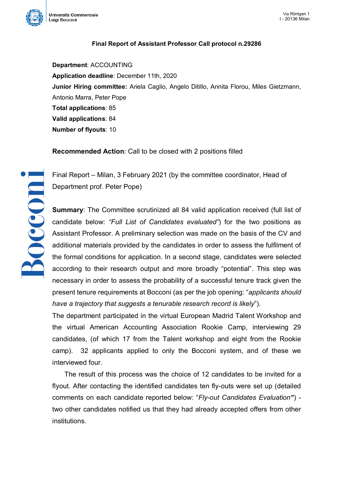

**Boccom** 

## **Final Report of Assistant Professor Call protocol n.29286**

**Department**: ACCOUNTING **Application deadline**: December 11th, 2020 **Junior Hiring committee:** Ariela Caglio, Angelo Ditillo, Annita Florou, Miles Gietzmann, Antonio Marra, Peter Pope **Total applications**: 85 **Valid applications**: 84 **Number of flyouts**: 10

**Recommended Action**: Call to be closed with 2 positions filled

Final Report – Milan, 3 February 2021 (by the committee coordinator, Head of Department prof. Peter Pope)

**Summary**: The Committee scrutinized all 84 valid application received (full list of candidate below: *"Full List of Candidates evaluated"*) for the two positions as Assistant Professor. A preliminary selection was made on the basis of the CV and additional materials provided by the candidates in order to assess the fulfilment of the formal conditions for application. In a second stage, candidates were selected according to their research output and more broadly "potential". This step was necessary in order to assess the probability of a successful tenure track given the present tenure requirements at Bocconi (as per the job opening: "*applicants should have a trajectory that suggests a tenurable research record is likely*").

The department participated in the virtual European Madrid Talent Workshop and the virtual American Accounting Association Rookie Camp, interviewing 29 candidates, (of which 17 from the Talent workshop and eight from the Rookie camp). 32 applicants applied to only the Bocconi system, and of these we interviewed four.

The result of this process was the choice of 12 candidates to be invited for a flyout. After contacting the identified candidates ten fly-outs were set up (detailed comments on each candidate reported below: "*Fly-out Candidates Evaluation"*) two other candidates notified us that they had already accepted offers from other institutions.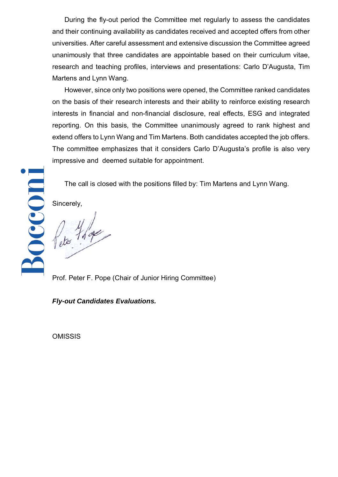During the fly-out period the Committee met regularly to assess the candidates and their continuing availability as candidates received and accepted offers from other universities. After careful assessment and extensive discussion the Committee agreed unanimously that three candidates are appointable based on their curriculum vitae, research and teaching profiles, interviews and presentations: Carlo D'Augusta, Tim Martens and Lynn Wang.

However, since only two positions were opened, the Committee ranked candidates on the basis of their research interests and their ability to reinforce existing research interests in financial and non-financial disclosure, real effects, ESG and integrated reporting. On this basis, the Committee unanimously agreed to rank highest and extend offers to Lynn Wang and Tim Martens. Both candidates accepted the job offers. The committee emphasizes that it considers Carlo D'Augusta's profile is also very impressive and deemed suitable for appointment.

The call is closed with the positions filled by: Tim Martens and Lynn Wang.

Sincerely,

Bocconi

Peter 7,000

Prof. Peter F. Pope (Chair of Junior Hiring Committee)

*Fly-out Candidates Evaluations.* 

**OMISSIS**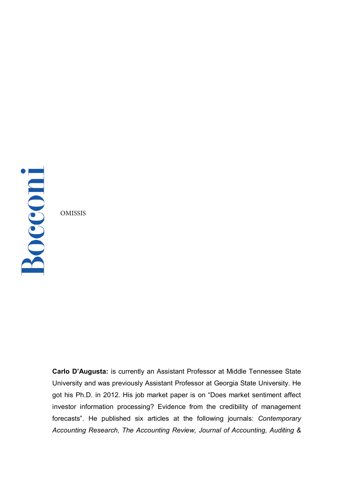Bocconi

OMISSIS

**Carlo D'Augusta:** is currently an Assistant Professor at Middle Tennessee State University and was previously Assistant Professor at Georgia State University. He got his Ph.D. in 2012. His job market paper is on "Does market sentiment affect investor information processing? Evidence from the credibility of management forecasts". He published six articles at the following journals: *Contemporary Accounting Research, The Accounting Review, Journal of Accounting, Auditing &*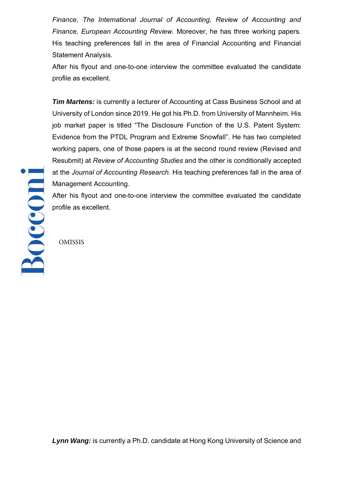*Finance, The International Journal of Accounting, Review of Accounting and Finance, European Accounting Review.* Moreover, he has three working papers. His teaching preferences fall in the area of Financial Accounting and Financial Statement Analysis.

After his flyout and one-to-one interview the committee evaluated the candidate profile as excellent.

*Tim Martens:* is currently a lecturer of Accounting at Cass Business School and at University of London since 2019. He got his Ph.D. from University of Mannheim. His job market paper is titled "The Disclosure Function of the U.S. Patent System: Evidence from the PTDL Program and Extreme Snowfall". He has two completed working papers, one of those papers is at the second round review (Revised and Resubmit) at *Review of Accounting Studies* and the other is conditionally accepted at the *Journal of Accounting Research.* His teaching preferences fall in the area of Management Accounting.

After his flyout and one-to-one interview the committee evaluated the candidate profile as excellent.

OMISSIS

Bocconi

*Lynn Wang:* is currently a Ph.D. candidate at Hong Kong University of Science and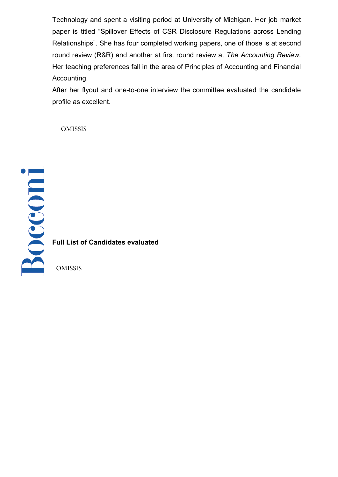Technology and spent a visiting period at University of Michigan. Her job market paper is titled "Spillover Effects of CSR Disclosure Regulations across Lending Relationships". She has four completed working papers, one of those is at second round review (R&R) and another at first round review at *The Accounting Review*. Her teaching preferences fall in the area of Principles of Accounting and Financial Accounting.

After her flyout and one-to-one interview the committee evaluated the candidate profile as excellent.

OMISSIS

**Full List of Candidates evaluated** OMISSIS